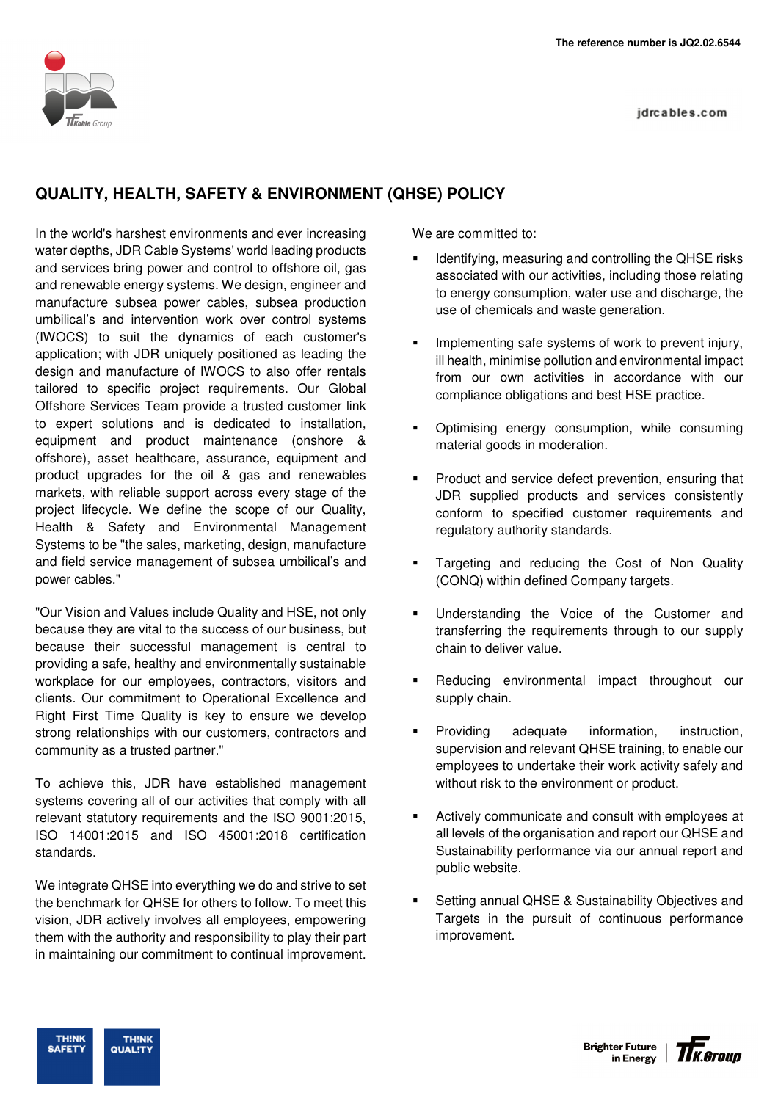idrcables.com

## **QUALITY, HEALTH, SAFETY & ENVIRONMENT (QHSE) POLICY**

In the world's harshest environments and ever increasing water depths, JDR Cable Systems' world leading products and services bring power and control to offshore oil, gas and renewable energy systems. We design, engineer and manufacture subsea power cables, subsea production umbilical's and intervention work over control systems (IWOCS) to suit the dynamics of each customer's application; with JDR uniquely positioned as leading the design and manufacture of IWOCS to also offer rentals tailored to specific project requirements. Our Global Offshore Services Team provide a trusted customer link to expert solutions and is dedicated to installation, equipment and product maintenance (onshore & offshore), asset healthcare, assurance, equipment and product upgrades for the oil & gas and renewables markets, with reliable support across every stage of the project lifecycle. We define the scope of our Quality, Health & Safety and Environmental Management Systems to be "the sales, marketing, design, manufacture and field service management of subsea umbilical's and power cables."

"Our Vision and Values include Quality and HSE, not only because they are vital to the success of our business, but because their successful management is central to providing a safe, healthy and environmentally sustainable workplace for our employees, contractors, visitors and clients. Our commitment to Operational Excellence and Right First Time Quality is key to ensure we develop strong relationships with our customers, contractors and community as a trusted partner."

To achieve this, JDR have established management systems covering all of our activities that comply with all relevant statutory requirements and the ISO 9001:2015, ISO 14001:2015 and ISO 45001:2018 certification standards.

We integrate QHSE into everything we do and strive to set the benchmark for QHSE for others to follow. To meet this vision, JDR actively involves all employees, empowering them with the authority and responsibility to play their part in maintaining our commitment to continual improvement.

We are committed to:

- Identifying, measuring and controlling the QHSE risks associated with our activities, including those relating to energy consumption, water use and discharge, the use of chemicals and waste generation.
- Implementing safe systems of work to prevent injury, ill health, minimise pollution and environmental impact from our own activities in accordance with our compliance obligations and best HSE practice.
- Optimising energy consumption, while consuming material goods in moderation.
- **Product and service defect prevention, ensuring that** JDR supplied products and services consistently conform to specified customer requirements and regulatory authority standards.
- Targeting and reducing the Cost of Non Quality (CONQ) within defined Company targets.
- **Understanding the Voice of the Customer and** transferring the requirements through to our supply chain to deliver value.
- Reducing environmental impact throughout our supply chain.
- **Providing adequate information, instruction,** supervision and relevant QHSE training, to enable our employees to undertake their work activity safely and without risk to the environment or product.
- Actively communicate and consult with employees at all levels of the organisation and report our QHSE and Sustainability performance via our annual report and public website.
- Setting annual QHSE & Sustainability Objectives and Targets in the pursuit of continuous performance improvement.